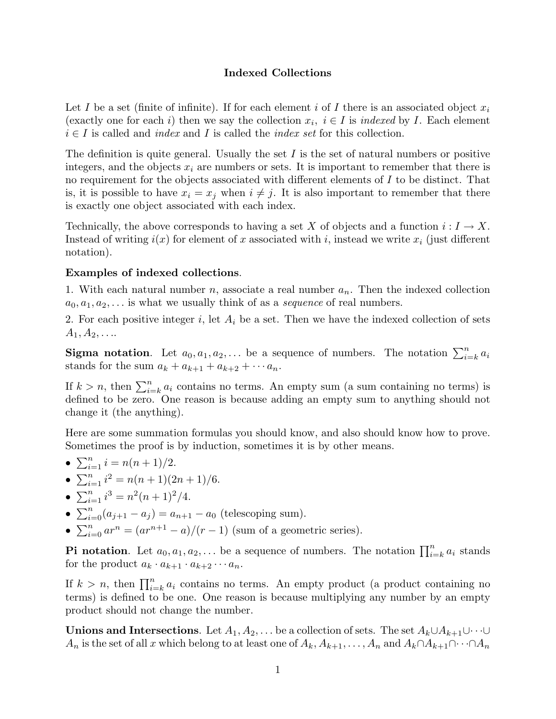## **Indexed Collections**

Let *I* be a set (finite of infinite). If for each element *i* of *I* there is an associated object  $x_i$ (exactly one for each *i*) then we say the collection  $x_i$ ,  $i \in I$  is *indexed* by *I*. Each element  $i \in I$  is called and *index* and *I* is called the *index set* for this collection.

The definition is quite general. Usually the set  $I$  is the set of natural numbers or positive integers, and the objects  $x_i$  are numbers or sets. It is important to remember that there is no requirement for the objects associated with different elements of *I* to be distinct. That is, it is possible to have  $x_i = x_j$  when  $i \neq j$ . It is also important to remember that there is exactly one object associated with each index.

Technically, the above corresponds to having a set X of objects and a function  $i: I \to X$ . Instead of writing  $i(x)$  for element of *x* associated with *i*, instead we write  $x_i$  (just different notation).

## **Examples of indexed collections**.

1. With each natural number *n*, associate a real number *an*. Then the indexed collection  $a_0, a_1, a_2, \ldots$  is what we usually think of as a *sequence* of real numbers.

2. For each positive integer *i*, let *A<sup>i</sup>* be a set. Then we have the indexed collection of sets  $A_1, A_2, \ldots$ 

**Sigma notation**. Let  $a_0, a_1, a_2, \ldots$  be a sequence of numbers. The notation  $\sum_{i=k}^{n} a_i$ stands for the sum  $a_k + a_{k+1} + a_{k+2} + \cdots + a_n$ .

If  $k > n$ , then  $\sum_{i=k}^{n} a_i$  contains no terms. An empty sum (a sum containing no terms) is defined to be zero. One reason is because adding an empty sum to anything should not change it (the anything).

Here are some summation formulas you should know, and also should know how to prove. Sometimes the proof is by induction, sometimes it is by other means.

- $\sum_{i=1}^{n} i = n(n+1)/2.$
- $\sum_{i=1}^{n} i^2 = n(n+1)(2n+1)/6.$
- $\sum_{i=1}^{n} i^3 = n^2(n+1)^2/4.$
- $\sum_{i=0}^{n} (a_{j+1} a_j) = a_{n+1} a_0$  (telescoping sum).
- $\sum_{i=0}^{n} ar^n = (ar^{n+1} a)/(r 1)$  (sum of a geometric series).

**Pi notation**. Let  $a_0, a_1, a_2, \ldots$  be a sequence of numbers. The notation  $\prod_{i=k}^{n} a_i$  stands for the product  $a_k \cdot a_{k+1} \cdot a_{k+2} \cdots a_n$ .

If  $k > n$ , then  $\prod_{i=k}^{n} a_i$  contains no terms. An empty product (a product containing no terms) is defined to be one. One reason is because multiplying any number by an empty product should not change the number.

**Unions and Intersections**. Let  $A_1, A_2, \ldots$  be a collection of sets. The set  $A_k \cup A_{k+1} \cup \cdots \cup$ *A*<sup>n</sup> is the set of all *x* which belong to at least one of  $A_k$ ,  $A_{k+1}$ , ...,  $A_n$  and  $A_k \cap A_{k+1} \cap \cdots \cap A_n$